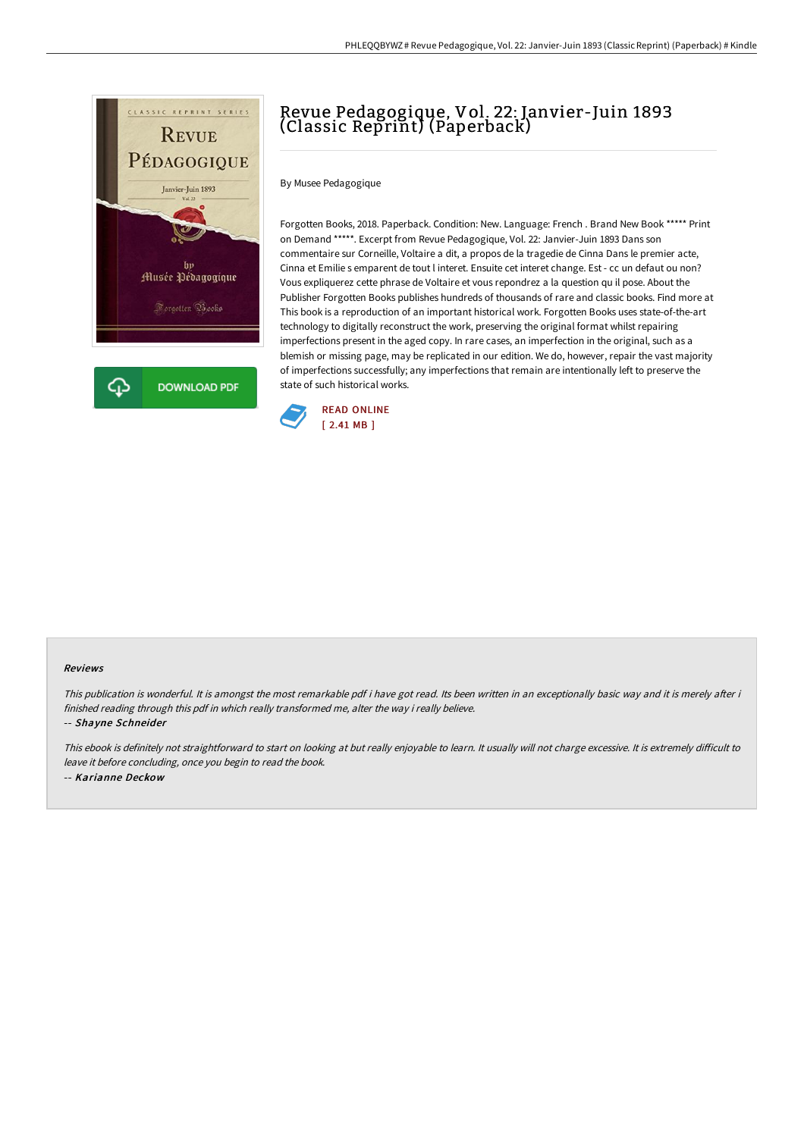

# Revue Pedagogique, Vol. 22: Janvier-Juin 1893 (Classic Reprint) (Paperback)

By Musee Pedagogique

Forgotten Books, 2018. Paperback. Condition: New. Language: French . Brand New Book \*\*\*\*\* Print on Demand \*\*\*\*\*. Excerpt from Revue Pedagogique, Vol. 22: Janvier-Juin 1893 Dans son commentaire sur Corneille, Voltaire a dit, a propos de la tragedie de Cinna Dans le premier acte, Cinna et Emilie s emparent de tout l interet. Ensuite cet interet change. Est - cc un defaut ou non? Vous expliquerez cette phrase de Voltaire et vous repondrez a la question qu il pose. About the Publisher Forgotten Books publishes hundreds of thousands of rare and classic books. Find more at This book is a reproduction of an important historical work. Forgotten Books uses state-of-the-art technology to digitally reconstruct the work, preserving the original format whilst repairing imperfections present in the aged copy. In rare cases, an imperfection in the original, such as a blemish or missing page, may be replicated in our edition. We do, however, repair the vast majority of imperfections successfully; any imperfections that remain are intentionally left to preserve the state of such historical works.



#### Reviews

This publication is wonderful. It is amongst the most remarkable pdf i have got read. Its been written in an exceptionally basic way and it is merely after i finished reading through this pdf in which really transformed me, alter the way i really believe.

-- Shayne Schneider

This ebook is definitely not straightforward to start on looking at but really enjoyable to learn. It usually will not charge excessive. It is extremely difficult to leave it before concluding, once you begin to read the book. -- Karianne Deckow